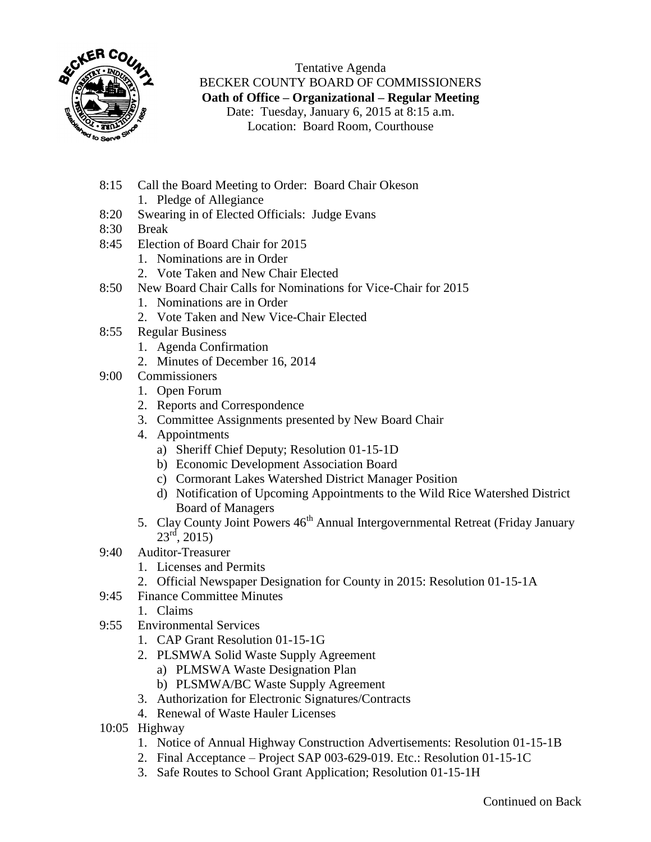

Tentative Agenda BECKER COUNTY BOARD OF COMMISSIONERS **Oath of Office – Organizational – Regular Meeting** Date: Tuesday, January 6, 2015 at 8:15 a.m. Location: Board Room, Courthouse

- 8:15 Call the Board Meeting to Order: Board Chair Okeson
	- 1. Pledge of Allegiance
- 8:20 Swearing in of Elected Officials: Judge Evans
- 8:30 Break
- 8:45 Election of Board Chair for 2015
	- 1. Nominations are in Order
	- 2. Vote Taken and New Chair Elected
- 8:50 New Board Chair Calls for Nominations for Vice-Chair for 2015
	- 1. Nominations are in Order
	- 2. Vote Taken and New Vice-Chair Elected
- 8:55 Regular Business
	- 1. Agenda Confirmation
	- 2. Minutes of December 16, 2014
- 9:00 Commissioners
	- 1. Open Forum
	- 2. Reports and Correspondence
	- 3. Committee Assignments presented by New Board Chair
	- 4. Appointments
		- a) Sheriff Chief Deputy; Resolution 01-15-1D
		- b) Economic Development Association Board
		- c) Cormorant Lakes Watershed District Manager Position
		- d) Notification of Upcoming Appointments to the Wild Rice Watershed District Board of Managers
	- 5. Clay County Joint Powers 46<sup>th</sup> Annual Intergovernmental Retreat (Friday January  $23^{\text{rd}}$ , 2015)
- 9:40 Auditor-Treasurer
	- 1. Licenses and Permits
	- 2. Official Newspaper Designation for County in 2015: Resolution 01-15-1A
- 9:45 Finance Committee Minutes
	- 1. Claims
- 9:55 Environmental Services
	- 1. CAP Grant Resolution 01-15-1G
	- 2. PLSMWA Solid Waste Supply Agreement
		- a) PLMSWA Waste Designation Plan
		- b) PLSMWA/BC Waste Supply Agreement
	- 3. Authorization for Electronic Signatures/Contracts
	- 4. Renewal of Waste Hauler Licenses
- 10:05 Highway
	- 1. Notice of Annual Highway Construction Advertisements: Resolution 01-15-1B
	- 2. Final Acceptance Project SAP 003-629-019. Etc.: Resolution 01-15-1C
	- 3. Safe Routes to School Grant Application; Resolution 01-15-1H